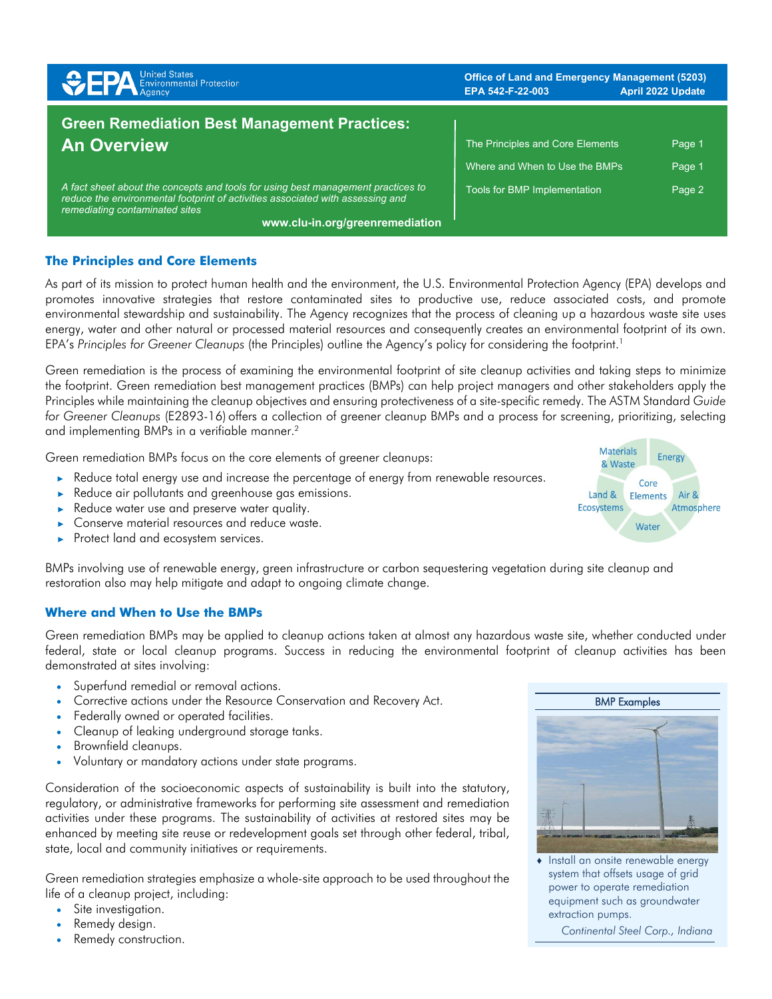| <b>SPA</b> Environmental Protection                                                                                                                                                                  | <b>Office of Land and Emergency Management (5203)</b><br>EPA 542-F-22-003 | <b>April 2022 Update</b> |
|------------------------------------------------------------------------------------------------------------------------------------------------------------------------------------------------------|---------------------------------------------------------------------------|--------------------------|
| <b>Green Remediation Best Management Practices:</b><br><b>An Overview</b>                                                                                                                            | The Principles and Core Elements                                          | Page 1                   |
|                                                                                                                                                                                                      | Where and When to Use the BMPs                                            | Page 1                   |
| A fact sheet about the concepts and tools for using best management practices to<br>reduce the environmental footprint of activities associated with assessing and<br>remediating contaminated sites | Tools for BMP Implementation                                              | Page 2                   |
| www.clu-in.org/greenremediation                                                                                                                                                                      |                                                                           |                          |

# **The Principles and Core Elements**

As part of its mission to protect human health and the environment, the U.S. Environmental Protection Agency (EPA) develops and promotes innovative strategies that restore contaminated sites to productive use, reduce associated costs, and promote environmental stewardship and sustainability. The Agency recognizes that the process of cleaning up a hazardous waste site uses energy, water and other natural or processed material resources and consequently creates an environmental footprint of its own. EPA's *Principles for Greener Cleanups* (the Principles) outline the Agency's policy for considering the footprint. 1

Green remediation is the process of examining the environmental footprint of site cleanup activities and taking steps to minimize the footprint. Green remediation best management practices (BMPs) can help project managers and other stakeholders apply the Principles while maintaining the cleanup objectives and ensuring protectiveness of a site-specific remedy. The ASTM Standard *Guide*  for Greener Cleanups (E2893-16) offers a collection of greener cleanup BMPs and a process for screening, prioritizing, selecting and implementing BMPs in a verifiable manner.<sup>2</sup>

Green remediation BMPs focus on the core elements of greener cleanups:

- ► Reduce total energy use and increase the percentage of energy from renewable resources.
- ► Reduce air pollutants and greenhouse gas emissions.
- Reduce water use and preserve water quality.
- ► Conserve material resources and reduce waste.
- ► Protect land and ecosystem services.

BMPs involving use of renewable energy, green infrastructure or carbon sequestering vegetation during site cleanup and restoration also may help mitigate and adapt to ongoing climate change.

### **Where and When to Use the BMPs**

Green remediation BMPs may be applied to cleanup actions taken at almost any hazardous waste site, whether conducted under federal, state or local cleanup programs. Success in reducing the environmental footprint of cleanup activities has been demonstrated at sites involving:

- Superfund remedial or removal actions.
- Corrective actions under the Resource Conservation and Recovery Act.
- Federally owned or operated facilities.
- Cleanup of leaking underground storage tanks.
- Brownfield cleanups.
- Voluntary or mandatory actions under state programs.

Consideration of the socioeconomic aspects of sustainability is built into the statutory, regulatory, or administrative frameworks for performing site assessment and remediation activities under these programs. The sustainability of activities at restored sites may be enhanced by meeting site reuse or redevelopment goals set through other federal, tribal, state, local and community initiatives or requirements.

Green remediation strategies emphasize a whole-site approach to be used throughout the life of a cleanup project, including:

- Site investigation.
- Remedy design.
- Remedy construction.





♦ Install an onsite renewable energy system that offsets usage of grid power to operate remediation equipment such as groundwater extraction pumps.

*Continental Steel Corp., Indiana*